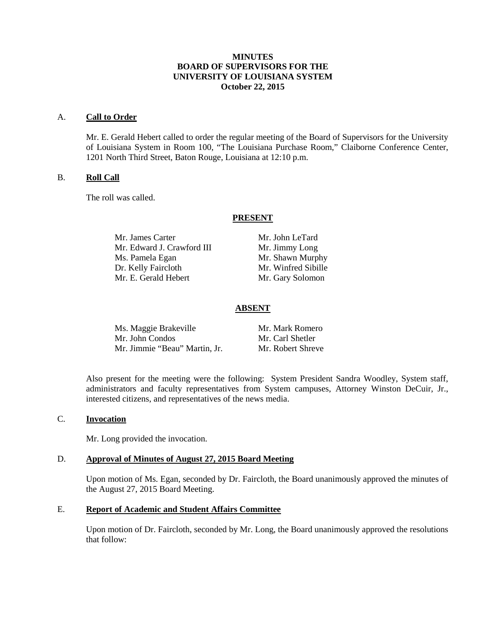## **MINUTES BOARD OF SUPERVISORS FOR THE UNIVERSITY OF LOUISIANA SYSTEM October 22, 2015**

#### A. **Call to Order**

Mr. E. Gerald Hebert called to order the regular meeting of the Board of Supervisors for the University of Louisiana System in Room 100, "The Louisiana Purchase Room," Claiborne Conference Center, 1201 North Third Street, Baton Rouge, Louisiana at 12:10 p.m.

## B. **Roll Call**

The roll was called.

#### **PRESENT**

Mr. James Carter Mr. John LeTard Mr. Edward J. Crawford III Mr. Jimmy Long Ms. Pamela Egan Mr. Shawn Murphy<br>
Dr. Kelly Faircloth Mr. Winfred Sibille Mr. E. Gerald Hebert Mr. Gary Solomon

Mr. Winfred Sibille

## **ABSENT**

| Ms. Maggie Brakeville         | Mr. Mark Romero   |
|-------------------------------|-------------------|
| Mr. John Condos               | Mr. Carl Shetler  |
| Mr. Jimmie "Beau" Martin, Jr. | Mr. Robert Shreve |

Also present for the meeting were the following: System President Sandra Woodley, System staff, administrators and faculty representatives from System campuses, Attorney Winston DeCuir, Jr., interested citizens, and representatives of the news media.

#### C. **Invocation**

Mr. Long provided the invocation.

## D. **Approval of Minutes of August 27, 2015 Board Meeting**

Upon motion of Ms. Egan, seconded by Dr. Faircloth, the Board unanimously approved the minutes of the August 27, 2015 Board Meeting.

## E. **Report of Academic and Student Affairs Committee**

Upon motion of Dr. Faircloth, seconded by Mr. Long, the Board unanimously approved the resolutions that follow: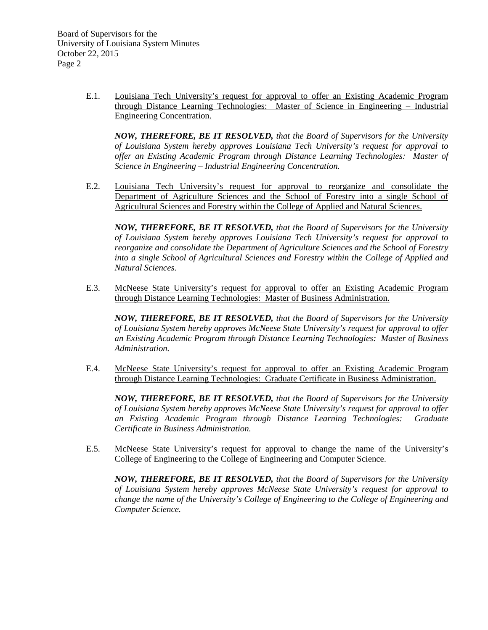E.1. Louisiana Tech University's request for approval to offer an Existing Academic Program through Distance Learning Technologies: Master of Science in Engineering – Industrial Engineering Concentration.

*NOW, THEREFORE, BE IT RESOLVED, that the Board of Supervisors for the University of Louisiana System hereby approves Louisiana Tech University's request for approval to offer an Existing Academic Program through Distance Learning Technologies: Master of Science in Engineering – Industrial Engineering Concentration.*

E.2. Louisiana Tech University's request for approval to reorganize and consolidate the Department of Agriculture Sciences and the School of Forestry into a single School of Agricultural Sciences and Forestry within the College of Applied and Natural Sciences.

*NOW, THEREFORE, BE IT RESOLVED, that the Board of Supervisors for the University of Louisiana System hereby approves Louisiana Tech University's request for approval to reorganize and consolidate the Department of Agriculture Sciences and the School of Forestry into a single School of Agricultural Sciences and Forestry within the College of Applied and Natural Sciences.*

E.3. McNeese State University's request for approval to offer an Existing Academic Program through Distance Learning Technologies: Master of Business Administration.

*NOW, THEREFORE, BE IT RESOLVED, that the Board of Supervisors for the University of Louisiana System hereby approves McNeese State University's request for approval to offer an Existing Academic Program through Distance Learning Technologies: Master of Business Administration.*

E.4. McNeese State University's request for approval to offer an Existing Academic Program through Distance Learning Technologies: Graduate Certificate in Business Administration.

*NOW, THEREFORE, BE IT RESOLVED, that the Board of Supervisors for the University of Louisiana System hereby approves McNeese State University's request for approval to offer an Existing Academic Program through Distance Learning Technologies: Graduate Certificate in Business Administration.*

E.5. McNeese State University's request for approval to change the name of the University's College of Engineering to the College of Engineering and Computer Science.

*NOW, THEREFORE, BE IT RESOLVED, that the Board of Supervisors for the University of Louisiana System hereby approves McNeese State University's request for approval to change the name of the University's College of Engineering to the College of Engineering and Computer Science.*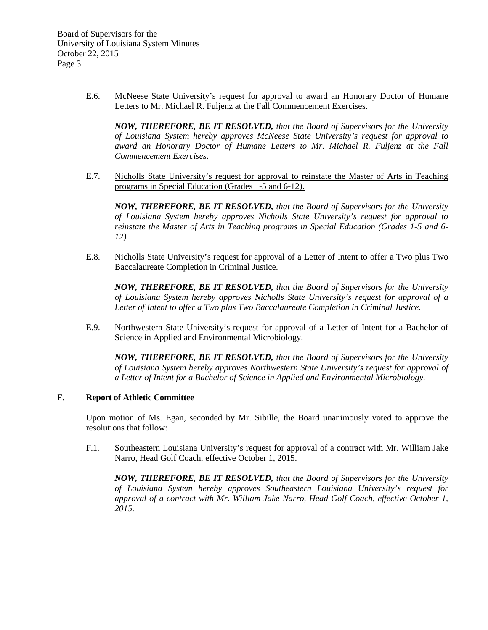E.6. McNeese State University's request for approval to award an Honorary Doctor of Humane Letters to Mr. Michael R. Fuljenz at the Fall Commencement Exercises.

*NOW, THEREFORE, BE IT RESOLVED, that the Board of Supervisors for the University of Louisiana System hereby approves McNeese State University's request for approval to award an Honorary Doctor of Humane Letters to Mr. Michael R. Fuljenz at the Fall Commencement Exercises.*

E.7. Nicholls State University's request for approval to reinstate the Master of Arts in Teaching programs in Special Education (Grades 1-5 and 6-12).

*NOW, THEREFORE, BE IT RESOLVED, that the Board of Supervisors for the University of Louisiana System hereby approves Nicholls State University's request for approval to reinstate the Master of Arts in Teaching programs in Special Education (Grades 1-5 and 6- 12).* 

E.8. Nicholls State University's request for approval of a Letter of Intent to offer a Two plus Two Baccalaureate Completion in Criminal Justice.

*NOW, THEREFORE, BE IT RESOLVED, that the Board of Supervisors for the University of Louisiana System hereby approves Nicholls State University's request for approval of a Letter of Intent to offer a Two plus Two Baccalaureate Completion in Criminal Justice.* 

E.9. Northwestern State University's request for approval of a Letter of Intent for a Bachelor of Science in Applied and Environmental Microbiology.

*NOW, THEREFORE, BE IT RESOLVED, that the Board of Supervisors for the University of Louisiana System hereby approves Northwestern State University's request for approval of a Letter of Intent for a Bachelor of Science in Applied and Environmental Microbiology.* 

## F. **Report of Athletic Committee**

Upon motion of Ms. Egan, seconded by Mr. Sibille, the Board unanimously voted to approve the resolutions that follow:

F.1. Southeastern Louisiana University's request for approval of a contract with Mr. William Jake Narro, Head Golf Coach, effective October 1, 2015.

*NOW, THEREFORE, BE IT RESOLVED, that the Board of Supervisors for the University of Louisiana System hereby approves Southeastern Louisiana University's request for approval of a contract with Mr. William Jake Narro, Head Golf Coach, effective October 1, 2015.*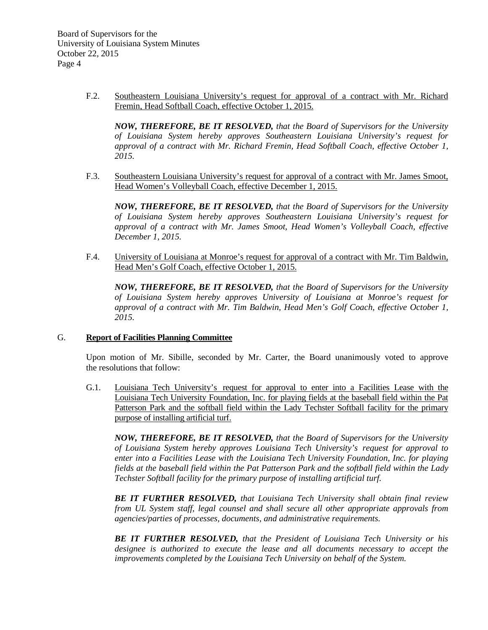F.2. Southeastern Louisiana University's request for approval of a contract with Mr. Richard Fremin, Head Softball Coach, effective October 1, 2015.

*NOW, THEREFORE, BE IT RESOLVED, that the Board of Supervisors for the University of Louisiana System hereby approves Southeastern Louisiana University's request for approval of a contract with Mr. Richard Fremin, Head Softball Coach, effective October 1, 2015.*

F.3. Southeastern Louisiana University's request for approval of a contract with Mr. James Smoot, Head Women's Volleyball Coach, effective December 1, 2015.

*NOW, THEREFORE, BE IT RESOLVED, that the Board of Supervisors for the University of Louisiana System hereby approves Southeastern Louisiana University's request for approval of a contract with Mr. James Smoot, Head Women's Volleyball Coach, effective December 1, 2015.*

F.4. University of Louisiana at Monroe's request for approval of a contract with Mr. Tim Baldwin, Head Men's Golf Coach, effective October 1, 2015.

*NOW, THEREFORE, BE IT RESOLVED, that the Board of Supervisors for the University of Louisiana System hereby approves University of Louisiana at Monroe's request for approval of a contract with Mr. Tim Baldwin, Head Men's Golf Coach, effective October 1, 2015.*

## G. **Report of Facilities Planning Committee**

Upon motion of Mr. Sibille, seconded by Mr. Carter, the Board unanimously voted to approve the resolutions that follow:

G.1. Louisiana Tech University's request for approval to enter into a Facilities Lease with the Louisiana Tech University Foundation, Inc. for playing fields at the baseball field within the Pat Patterson Park and the softball field within the Lady Techster Softball facility for the primary purpose of installing artificial turf.

*NOW, THEREFORE, BE IT RESOLVED, that the Board of Supervisors for the University of Louisiana System hereby approves Louisiana Tech University's request for approval to enter into a Facilities Lease with the Louisiana Tech University Foundation, Inc. for playing fields at the baseball field within the Pat Patterson Park and the softball field within the Lady Techster Softball facility for the primary purpose of installing artificial turf.* 

*BE IT FURTHER RESOLVED, that Louisiana Tech University shall obtain final review from UL System staff, legal counsel and shall secure all other appropriate approvals from agencies/parties of processes, documents, and administrative requirements.*

*BE IT FURTHER RESOLVED, that the President of Louisiana Tech University or his designee is authorized to execute the lease and all documents necessary to accept the improvements completed by the Louisiana Tech University on behalf of the System.*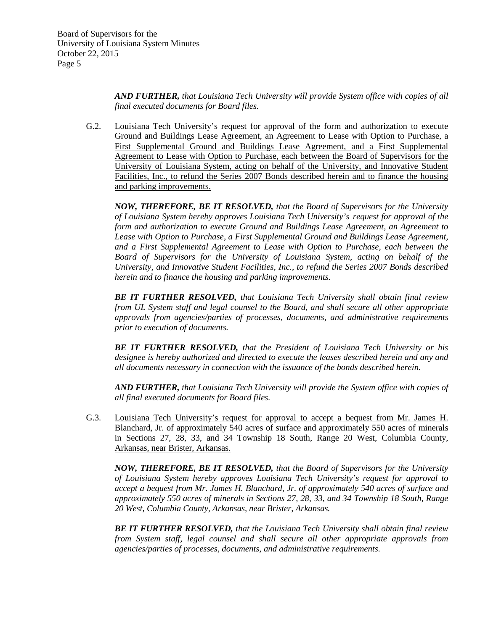*AND FURTHER, that Louisiana Tech University will provide System office with copies of all final executed documents for Board files.* 

G.2. Louisiana Tech University's request for approval of the form and authorization to execute Ground and Buildings Lease Agreement, an Agreement to Lease with Option to Purchase, a First Supplemental Ground and Buildings Lease Agreement, and a First Supplemental Agreement to Lease with Option to Purchase, each between the Board of Supervisors for the University of Louisiana System, acting on behalf of the University, and Innovative Student Facilities, Inc., to refund the Series 2007 Bonds described herein and to finance the housing and parking improvements.

*NOW, THEREFORE, BE IT RESOLVED, that the Board of Supervisors for the University of Louisiana System hereby approves Louisiana Tech University's request for approval of the form and authorization to execute Ground and Buildings Lease Agreement, an Agreement to Lease with Option to Purchase, a First Supplemental Ground and Buildings Lease Agreement, and a First Supplemental Agreement to Lease with Option to Purchase, each between the Board of Supervisors for the University of Louisiana System, acting on behalf of the University, and Innovative Student Facilities, Inc., to refund the Series 2007 Bonds described herein and to finance the housing and parking improvements.* 

*BE IT FURTHER RESOLVED, that Louisiana Tech University shall obtain final review from UL System staff and legal counsel to the Board, and shall secure all other appropriate approvals from agencies/parties of processes, documents, and administrative requirements prior to execution of documents.* 

*BE IT FURTHER RESOLVED, that the President of Louisiana Tech University or his designee is hereby authorized and directed to execute the leases described herein and any and all documents necessary in connection with the issuance of the bonds described herein.*

*AND FURTHER, that Louisiana Tech University will provide the System office with copies of all final executed documents for Board files.* 

G.3. Louisiana Tech University's request for approval to accept a bequest from Mr. James H. Blanchard, Jr. of approximately 540 acres of surface and approximately 550 acres of minerals in Sections 27, 28, 33, and 34 Township 18 South, Range 20 West, Columbia County, Arkansas, near Brister, Arkansas.

*NOW, THEREFORE, BE IT RESOLVED, that the Board of Supervisors for the University of Louisiana System hereby approves Louisiana Tech University's request for approval to accept a bequest from Mr. James H. Blanchard, Jr. of approximately 540 acres of surface and approximately 550 acres of minerals in Sections 27, 28, 33, and 34 Township 18 South, Range 20 West, Columbia County, Arkansas, near Brister, Arkansas.* 

*BE IT FURTHER RESOLVED, that the Louisiana Tech University shall obtain final review from System staff, legal counsel and shall secure all other appropriate approvals from agencies/parties of processes, documents, and administrative requirements.*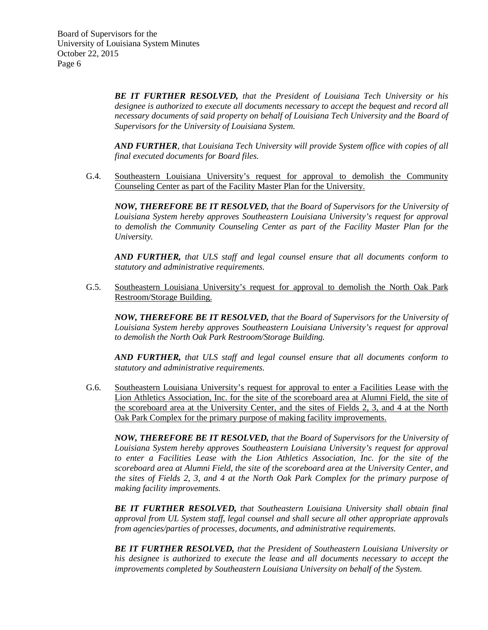*BE IT FURTHER RESOLVED, that the President of Louisiana Tech University or his designee is authorized to execute all documents necessary to accept the bequest and record all necessary documents of said property on behalf of Louisiana Tech University and the Board of Supervisors for the University of Louisiana System.* 

*AND FURTHER, that Louisiana Tech University will provide System office with copies of all final executed documents for Board files.* 

G.4. Southeastern Louisiana University's request for approval to demolish the Community Counseling Center as part of the Facility Master Plan for the University.

*NOW, THEREFORE BE IT RESOLVED, that the Board of Supervisors for the University of Louisiana System hereby approves Southeastern Louisiana University's request for approval to demolish the Community Counseling Center as part of the Facility Master Plan for the University.*

*AND FURTHER, that ULS staff and legal counsel ensure that all documents conform to statutory and administrative requirements.*

G.5. Southeastern Louisiana University's request for approval to demolish the North Oak Park Restroom/Storage Building.

*NOW, THEREFORE BE IT RESOLVED, that the Board of Supervisors for the University of Louisiana System hereby approves Southeastern Louisiana University's request for approval to demolish the North Oak Park Restroom/Storage Building.*

*AND FURTHER, that ULS staff and legal counsel ensure that all documents conform to statutory and administrative requirements.*

G.6. Southeastern Louisiana University's request for approval to enter a Facilities Lease with the Lion Athletics Association, Inc. for the site of the scoreboard area at Alumni Field, the site of the scoreboard area at the University Center, and the sites of Fields 2, 3, and 4 at the North Oak Park Complex for the primary purpose of making facility improvements.

*NOW, THEREFORE BE IT RESOLVED, that the Board of Supervisors for the University of Louisiana System hereby approves Southeastern Louisiana University's request for approval to enter a Facilities Lease with the Lion Athletics Association, Inc. for the site of the scoreboard area at Alumni Field, the site of the scoreboard area at the University Center, and the sites of Fields 2, 3, and 4 at the North Oak Park Complex for the primary purpose of making facility improvements.*

*BE IT FURTHER RESOLVED, that Southeastern Louisiana University shall obtain final approval from UL System staff, legal counsel and shall secure all other appropriate approvals from agencies/parties of processes, documents, and administrative requirements.*

*BE IT FURTHER RESOLVED, that the President of Southeastern Louisiana University or his designee is authorized to execute the lease and all documents necessary to accept the improvements completed by Southeastern Louisiana University on behalf of the System.*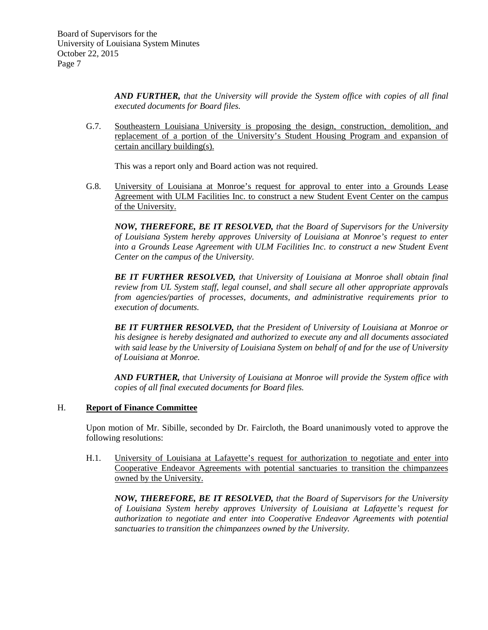*AND FURTHER, that the University will provide the System office with copies of all final executed documents for Board files.*

G.7. Southeastern Louisiana University is proposing the design, construction, demolition, and replacement of a portion of the University's Student Housing Program and expansion of certain ancillary building(s).

This was a report only and Board action was not required.

G.8. University of Louisiana at Monroe's request for approval to enter into a Grounds Lease Agreement with ULM Facilities Inc. to construct a new Student Event Center on the campus of the University.

*NOW, THEREFORE, BE IT RESOLVED, that the Board of Supervisors for the University of Louisiana System hereby approves University of Louisiana at Monroe's request to enter into a Grounds Lease Agreement with ULM Facilities Inc. to construct a new Student Event Center on the campus of the University.* 

*BE IT FURTHER RESOLVED, that University of Louisiana at Monroe shall obtain final review from UL System staff, legal counsel, and shall secure all other appropriate approvals from agencies/parties of processes, documents, and administrative requirements prior to execution of documents.* 

*BE IT FURTHER RESOLVED, that the President of University of Louisiana at Monroe or his designee is hereby designated and authorized to execute any and all documents associated with said lease by the University of Louisiana System on behalf of and for the use of University of Louisiana at Monroe.* 

*AND FURTHER, that University of Louisiana at Monroe will provide the System office with copies of all final executed documents for Board files.* 

## H. **Report of Finance Committee**

Upon motion of Mr. Sibille, seconded by Dr. Faircloth, the Board unanimously voted to approve the following resolutions:

H.1. University of Louisiana at Lafayette's request for authorization to negotiate and enter into Cooperative Endeavor Agreements with potential sanctuaries to transition the chimpanzees owned by the University.

*NOW, THEREFORE, BE IT RESOLVED, that the Board of Supervisors for the University of Louisiana System hereby approves University of Louisiana at Lafayette's request for authorization to negotiate and enter into Cooperative Endeavor Agreements with potential sanctuaries to transition the chimpanzees owned by the University.*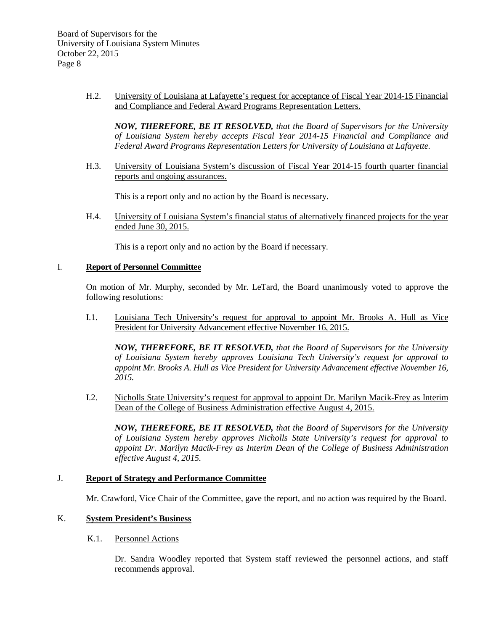H.2. University of Louisiana at Lafayette's request for acceptance of Fiscal Year 2014-15 Financial and Compliance and Federal Award Programs Representation Letters.

*NOW, THEREFORE, BE IT RESOLVED, that the Board of Supervisors for the University of Louisiana System hereby accepts Fiscal Year 2014-15 Financial and Compliance and Federal Award Programs Representation Letters for University of Louisiana at Lafayette.*

H.3. University of Louisiana System's discussion of Fiscal Year 2014-15 fourth quarter financial reports and ongoing assurances.

This is a report only and no action by the Board is necessary.

H.4. University of Louisiana System's financial status of alternatively financed projects for the year ended June 30, 2015.

This is a report only and no action by the Board if necessary.

## I. **Report of Personnel Committee**

On motion of Mr. Murphy, seconded by Mr. LeTard, the Board unanimously voted to approve the following resolutions:

I.1. Louisiana Tech University's request for approval to appoint Mr. Brooks A. Hull as Vice President for University Advancement effective November 16, 2015.

*NOW, THEREFORE, BE IT RESOLVED, that the Board of Supervisors for the University of Louisiana System hereby approves Louisiana Tech University's request for approval to appoint Mr. Brooks A. Hull as Vice President for University Advancement effective November 16, 2015.*

I.2. Nicholls State University's request for approval to appoint Dr. Marilyn Macik-Frey as Interim Dean of the College of Business Administration effective August 4, 2015.

*NOW, THEREFORE, BE IT RESOLVED, that the Board of Supervisors for the University of Louisiana System hereby approves Nicholls State University's request for approval to appoint Dr. Marilyn Macik-Frey as Interim Dean of the College of Business Administration effective August 4, 2015.*

## J. **Report of Strategy and Performance Committee**

Mr. Crawford, Vice Chair of the Committee, gave the report, and no action was required by the Board.

## K. **System President's Business**

K.1. Personnel Actions

Dr. Sandra Woodley reported that System staff reviewed the personnel actions, and staff recommends approval.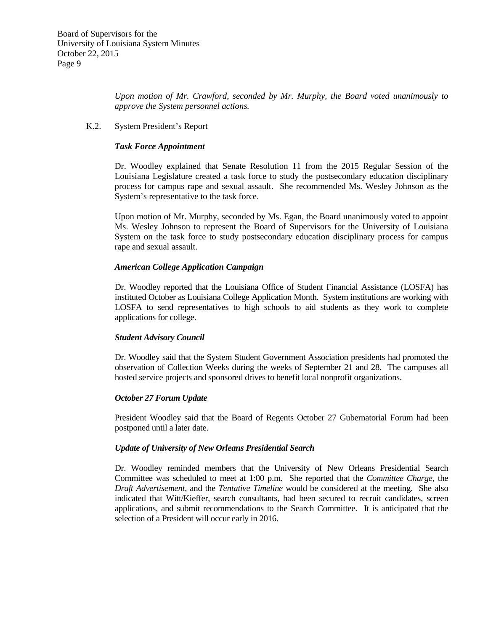*Upon motion of Mr. Crawford, seconded by Mr. Murphy, the Board voted unanimously to approve the System personnel actions.*

#### K.2. System President's Report

#### *Task Force Appointment*

Dr. Woodley explained that Senate Resolution 11 from the 2015 Regular Session of the Louisiana Legislature created a task force to study the postsecondary education disciplinary process for campus rape and sexual assault. She recommended Ms. Wesley Johnson as the System's representative to the task force.

Upon motion of Mr. Murphy, seconded by Ms. Egan, the Board unanimously voted to appoint Ms. Wesley Johnson to represent the Board of Supervisors for the University of Louisiana System on the task force to study postsecondary education disciplinary process for campus rape and sexual assault.

#### *American College Application Campaign*

Dr. Woodley reported that the Louisiana Office of Student Financial Assistance (LOSFA) has instituted October as Louisiana College Application Month. System institutions are working with LOSFA to send representatives to high schools to aid students as they work to complete applications for college.

#### *Student Advisory Council*

Dr. Woodley said that the System Student Government Association presidents had promoted the observation of Collection Weeks during the weeks of September 21 and 28. The campuses all hosted service projects and sponsored drives to benefit local nonprofit organizations.

## *October 27 Forum Update*

President Woodley said that the Board of Regents October 27 Gubernatorial Forum had been postponed until a later date.

## *Update of University of New Orleans Presidential Search*

Dr. Woodley reminded members that the University of New Orleans Presidential Search Committee was scheduled to meet at 1:00 p.m. She reported that the *Committee Charge*, the *Draft Advertisement*, and the *Tentative Timeline* would be considered at the meeting. She also indicated that Witt/Kieffer, search consultants, had been secured to recruit candidates, screen applications, and submit recommendations to the Search Committee. It is anticipated that the selection of a President will occur early in 2016.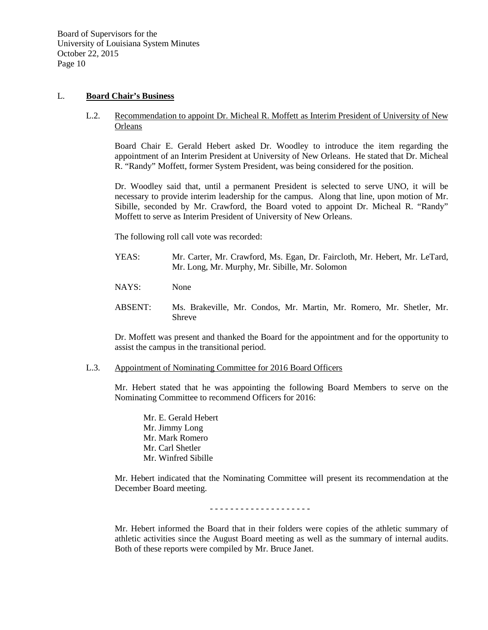## L. **Board Chair's Business**

## L.2. Recommendation to appoint Dr. Micheal R. Moffett as Interim President of University of New **Orleans**

Board Chair E. Gerald Hebert asked Dr. Woodley to introduce the item regarding the appointment of an Interim President at University of New Orleans. He stated that Dr. Micheal R. "Randy" Moffett, former System President, was being considered for the position.

Dr. Woodley said that, until a permanent President is selected to serve UNO, it will be necessary to provide interim leadership for the campus. Along that line, upon motion of Mr. Sibille, seconded by Mr. Crawford, the Board voted to appoint Dr. Micheal R. "Randy" Moffett to serve as Interim President of University of New Orleans.

The following roll call vote was recorded:

- YEAS: Mr. Carter, Mr. Crawford, Ms. Egan, Dr. Faircloth, Mr. Hebert, Mr. LeTard, Mr. Long, Mr. Murphy, Mr. Sibille, Mr. Solomon
- NAYS: None
- ABSENT: Ms. Brakeville, Mr. Condos, Mr. Martin, Mr. Romero, Mr. Shetler, Mr. Shreve

Dr. Moffett was present and thanked the Board for the appointment and for the opportunity to assist the campus in the transitional period.

#### L.3. Appointment of Nominating Committee for 2016 Board Officers

Mr. Hebert stated that he was appointing the following Board Members to serve on the Nominating Committee to recommend Officers for 2016:

Mr. E. Gerald Hebert Mr. Jimmy Long Mr. Mark Romero Mr. Carl Shetler Mr. Winfred Sibille

Mr. Hebert indicated that the Nominating Committee will present its recommendation at the December Board meeting.

- - - - - - - - - - - - - - - - - - - -

Mr. Hebert informed the Board that in their folders were copies of the athletic summary of athletic activities since the August Board meeting as well as the summary of internal audits. Both of these reports were compiled by Mr. Bruce Janet.